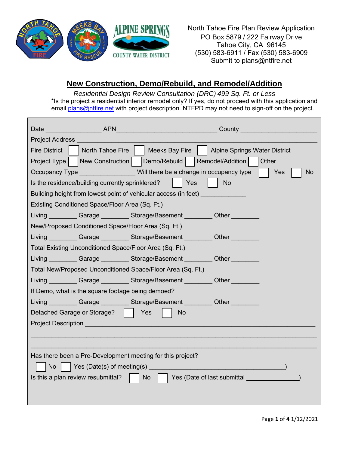

North Tahoe Fire Plan Review Application PO Box 5879 / 222 Fairway Drive Tahoe City, CA 96145 (530) 583-6911 / Fax (530) 583-6909 Submit to plans@ntfire.net

## **New Construction, Demo/Rebuild, and Remodel/Addition**

*Residential Design Review Consultation (DRC) 499 Sq. Ft. or Less* \*Is the project a residential interior remodel only? If yes, do not proceed with this application and email [plans@ntfire.net](mailto:plans@ntfire.net) with project description. NTFPD may not need to sign-off on the project.

|                                                   |                                                     | County <u>_______________________</u>                                                   |  |  |
|---------------------------------------------------|-----------------------------------------------------|-----------------------------------------------------------------------------------------|--|--|
| <b>Project Address</b>                            |                                                     |                                                                                         |  |  |
| <b>Fire District</b>                              |                                                     | North Tahoe Fire     Meeks Bay Fire  <br>Alpine Springs Water District                  |  |  |
|                                                   |                                                     | Project Type   New Construction   Demo/Rebuild<br>Remodel/Addition<br>Other             |  |  |
|                                                   |                                                     | Occupancy Type <b>Example 20</b> Will there be a change in occupancy type<br>Yes<br>No. |  |  |
|                                                   | Is the residence/building currently sprinklered?    | Yes<br><b>No</b>                                                                        |  |  |
|                                                   |                                                     | Building height from lowest point of vehicular access (in feet)                         |  |  |
|                                                   | Existing Conditioned Space/Floor Area (Sq. Ft.)     |                                                                                         |  |  |
|                                                   |                                                     | Living Carage Storage/Basement Other                                                    |  |  |
|                                                   | New/Proposed Conditioned Space/Floor Area (Sq. Ft.) |                                                                                         |  |  |
|                                                   |                                                     | Living __________Garage __________Storage/Basement __________Other __________           |  |  |
|                                                   |                                                     | Total Existing Unconditioned Space/Floor Area (Sq. Ft.)                                 |  |  |
|                                                   |                                                     | Living Garage Storage/Basement Cher Cher                                                |  |  |
|                                                   |                                                     | Total New/Proposed Unconditioned Space/Floor Area (Sq. Ft.)                             |  |  |
|                                                   |                                                     | Living Carage Storage/Basement Other                                                    |  |  |
| If Demo, what is the square footage being demoed? |                                                     |                                                                                         |  |  |
|                                                   |                                                     | Living Garage Storage/Basement Cher Cher                                                |  |  |
|                                                   | Detached Garage or Storage?     Yes                 | <b>No</b>                                                                               |  |  |
|                                                   |                                                     |                                                                                         |  |  |
|                                                   |                                                     |                                                                                         |  |  |
|                                                   |                                                     |                                                                                         |  |  |
|                                                   |                                                     | Has there been a Pre-Development meeting for this project?                              |  |  |
|                                                   |                                                     |                                                                                         |  |  |
|                                                   | Is this a plan review resubmittal?                  | Yes (Date of last submittal and the control of the state of last submittal<br>No        |  |  |
|                                                   |                                                     |                                                                                         |  |  |
|                                                   |                                                     |                                                                                         |  |  |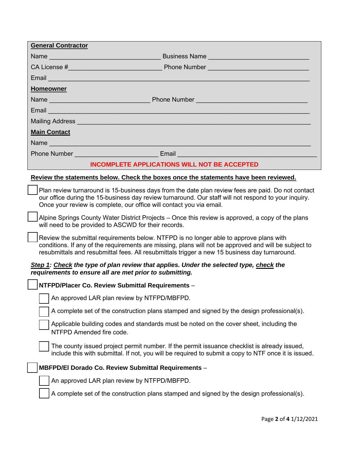| <b>General Contractor</b>                                                                                                                                                                                                                                                                        |  |  |
|--------------------------------------------------------------------------------------------------------------------------------------------------------------------------------------------------------------------------------------------------------------------------------------------------|--|--|
| Name                                                                                                                                                                                                                                                                                             |  |  |
|                                                                                                                                                                                                                                                                                                  |  |  |
| Email <u>Andreas and American and American and American and American and American and American and American and A</u>                                                                                                                                                                            |  |  |
| <b>Homeowner</b>                                                                                                                                                                                                                                                                                 |  |  |
|                                                                                                                                                                                                                                                                                                  |  |  |
| Email and the company of the company of the company of the company of the company of the company of the company                                                                                                                                                                                  |  |  |
| Mailing Address <b>Mailing Address Mailing Address <b>Mailing</b> Address <b>Mailing Address</b></b>                                                                                                                                                                                             |  |  |
| <b>Main Contact</b>                                                                                                                                                                                                                                                                              |  |  |
| Name                                                                                                                                                                                                                                                                                             |  |  |
| Phone Number _________________________________Email _____________________________                                                                                                                                                                                                                |  |  |
| <b>INCOMPLETE APPLICATIONS WILL NOT BE ACCEPTED</b>                                                                                                                                                                                                                                              |  |  |
| Review the statements below. Check the boxes once the statements have been reviewed.                                                                                                                                                                                                             |  |  |
| Plan review turnaround is 15-business days from the date plan review fees are paid. Do not contact<br>our office during the 15-business day review turnaround. Our staff will not respond to your inquiry.<br>Once your review is complete, our office will contact you via email.               |  |  |
| Alpine Springs County Water District Projects – Once this review is approved, a copy of the plans<br>will need to be provided to ASCWD for their records.                                                                                                                                        |  |  |
| Review the submittal requirements below. NTFPD is no longer able to approve plans with<br>conditions. If any of the requirements are missing, plans will not be approved and will be subject to<br>resubmittals and resubmittal fees. All resubmittals trigger a new 15 business day turnaround. |  |  |
| Step 1: Check the type of plan review that applies. Under the selected type, check the<br>requirements to ensure all are met prior to submitting.                                                                                                                                                |  |  |
| NTFPD/Placer Co. Review Submittal Requirements -                                                                                                                                                                                                                                                 |  |  |
| An approved LAR plan review by NTFPD/MBFPD.                                                                                                                                                                                                                                                      |  |  |
| A complete set of the construction plans stamped and signed by the design professional(s).                                                                                                                                                                                                       |  |  |
| Applicable building codes and standards must be noted on the cover sheet, including the<br>NTFPD Amended fire code.                                                                                                                                                                              |  |  |
| The county issued project permit number. If the permit issuance checklist is already issued,<br>include this with submittal. If not, you will be required to submit a copy to NTF once it is issued.                                                                                             |  |  |
| MBFPD/El Dorado Co. Review Submittal Requirements -                                                                                                                                                                                                                                              |  |  |
| An approved LAR plan review by NTFPD/MBFPD.                                                                                                                                                                                                                                                      |  |  |
| A complete set of the construction plans stamped and signed by the design professional(s).                                                                                                                                                                                                       |  |  |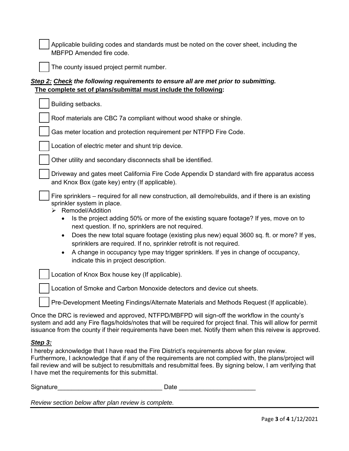Applicable building codes and standards must be noted on the cover sheet, including the MBFPD Amended fire code.



The county issued project permit number.

## *Step 2: Check the following requirements to ensure all are met prior to submitting.*  **The complete set of plans/submittal must include the following:**

| Building setbacks.                                                                                                                                                                                                                                                                                                                                                                                       |
|----------------------------------------------------------------------------------------------------------------------------------------------------------------------------------------------------------------------------------------------------------------------------------------------------------------------------------------------------------------------------------------------------------|
| Roof materials are CBC 7a compliant without wood shake or shingle.                                                                                                                                                                                                                                                                                                                                       |
| Gas meter location and protection requirement per NTFPD Fire Code.                                                                                                                                                                                                                                                                                                                                       |
| Location of electric meter and shunt trip device.                                                                                                                                                                                                                                                                                                                                                        |
| Other utility and secondary disconnects shall be identified.                                                                                                                                                                                                                                                                                                                                             |
| Driveway and gates meet California Fire Code Appendix D standard with fire apparatus access<br>and Knox Box (gate key) entry (If applicable).                                                                                                                                                                                                                                                            |
| Fire sprinklers – required for all new construction, all demo/rebuilds, and if there is an existing<br>sprinkler system in place.<br>> Remodel/Addition<br>Is the project adding 50% or more of the existing square footage? If yes, move on to<br>$\bullet$                                                                                                                                             |
| next question. If no, sprinklers are not required.                                                                                                                                                                                                                                                                                                                                                       |
| Does the new total square footage (existing plus new) equal 3600 sq. ft. or more? If yes,<br>$\bullet$<br>sprinklers are required. If no, sprinkler retrofit is not required.                                                                                                                                                                                                                            |
| A change in occupancy type may trigger sprinklers. If yes in change of occupancy,<br>٠<br>indicate this in project description.                                                                                                                                                                                                                                                                          |
| Location of Knox Box house key (If applicable).                                                                                                                                                                                                                                                                                                                                                          |
| Location of Smoke and Carbon Monoxide detectors and device cut sheets.                                                                                                                                                                                                                                                                                                                                   |
| Pre-Development Meeting Findings/Alternate Materials and Methods Request (If applicable).<br>$\mathbf{r}$ , $\mathbf{r}$ , $\mathbf{r}$ , $\mathbf{r}$ , $\mathbf{r}$ , $\mathbf{r}$ , $\mathbf{r}$ , $\mathbf{r}$ , $\mathbf{r}$ , $\mathbf{r}$ , $\mathbf{r}$ , $\mathbf{r}$ , $\mathbf{r}$ , $\mathbf{r}$ , $\mathbf{r}$ , $\mathbf{r}$ , $\mathbf{r}$ , $\mathbf{r}$ , $\mathbf{r}$ , $\mathbf{r}$ , |

Once the DRC is reviewed and approved, NTFPD/MBFPD will sign-off the workflow in the county's system and add any Fire flags/holds/notes that will be required for project final. This will allow for permit issuance from the county if their requirements have been met. Notify them when this reivew is approved.

## *Step 3:*

I hereby acknowledge that I have read the Fire District's requirements above for plan review. Furthermore, I acknowledge that if any of the requirements are not complied with, the plans/project will fail review and will be subject to resubmittals and resubmittal fees. By signing below, I am verifying that I have met the requirements for this submittal.

Signature the contract of the contract of the Date  $\Box$  Date  $\Box$  Date  $\Box$ 

*Review section below after plan review is complete.*